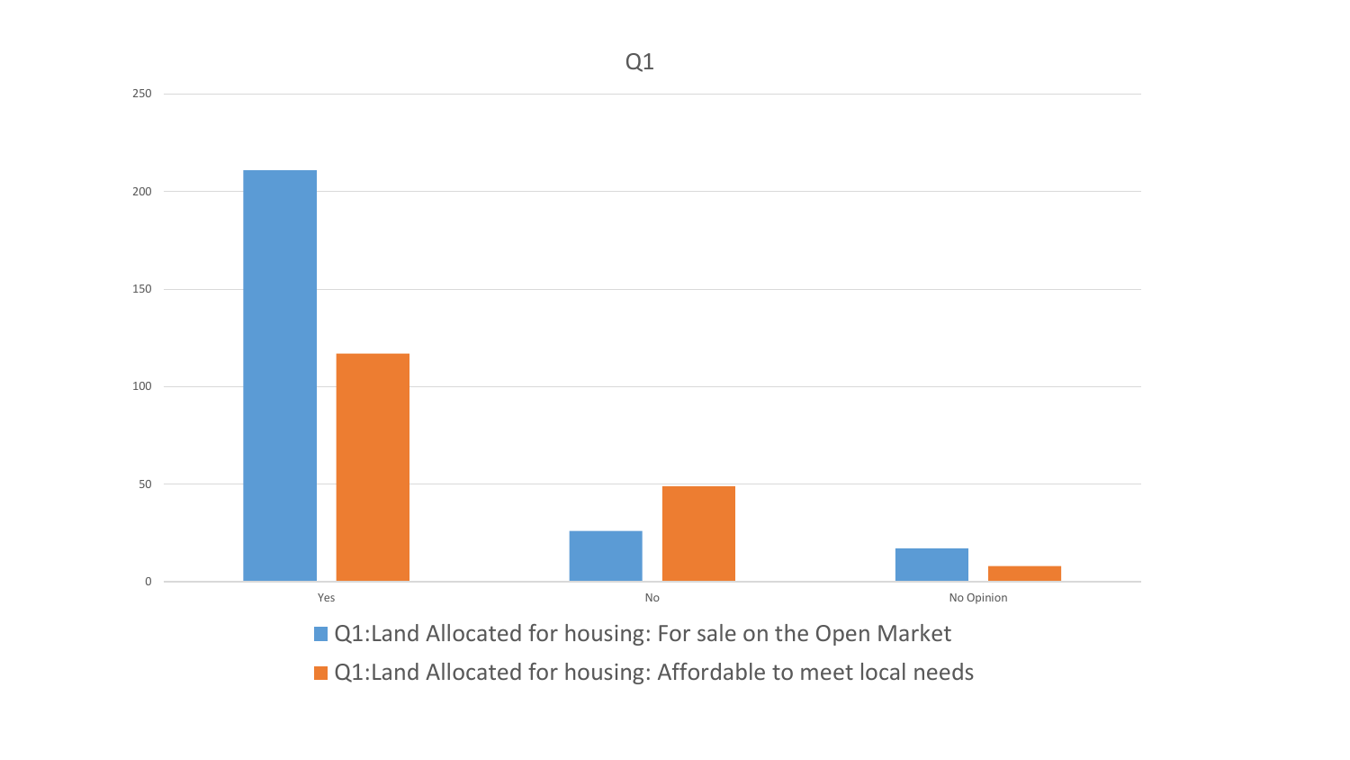

**Q1:Land Allocated for housing: For sale on the Open Market** 

■ Q1:Land Allocated for housing: Affordable to meet local needs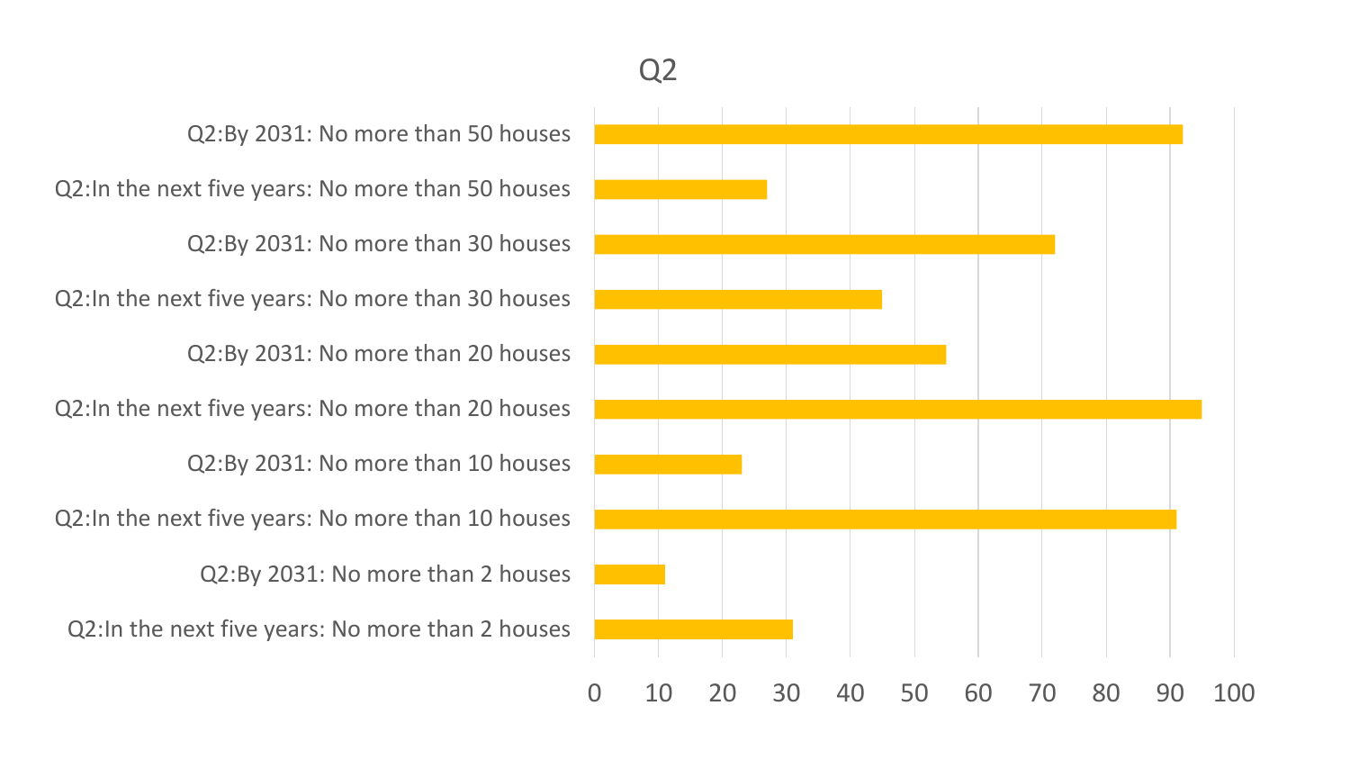Q2:In the next five years: No more than 2 houses Q2:By 2031: No more than 2 houses Q2:In the next five years: No more than 10 houses Q2:By 2031: No more than 10 houses Q2:In the next five years: No more than 20 houses Q2:By 2031: No more than 20 houses Q2:In the next five years: No more than 30 houses Q2:By 2031: No more than 30 houses Q2:In the next five years: No more than 50 houses Q2:By 2031: No more than 50 houses

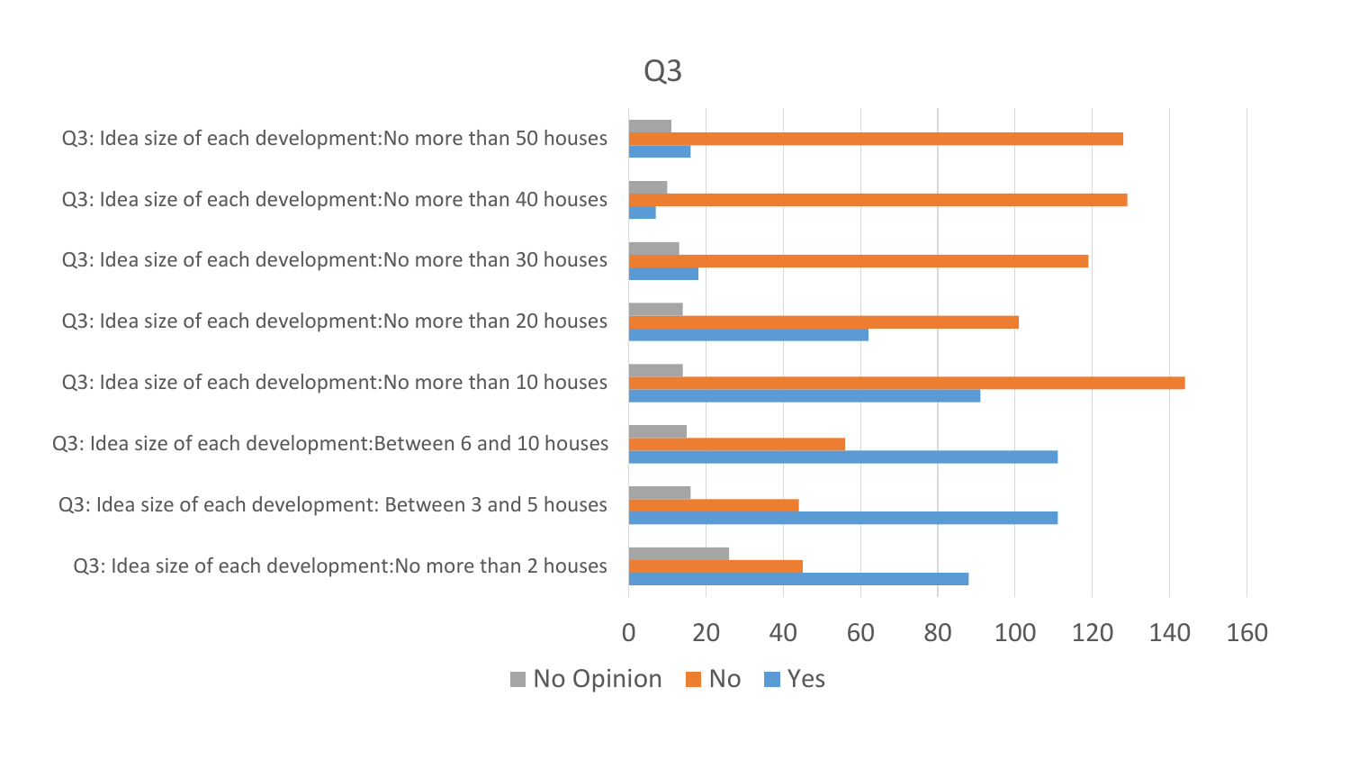## Q3

Q3: Idea size of each development:No more than 50 houses

Q3: Idea size of each development:No more than 40 houses

Q3: Idea size of each development:No more than 30 houses

Q3: Idea size of each development:No more than 20 houses

Q3: Idea size of each development:No more than 10 houses

Q3: Idea size of each development:Between 6 and 10 houses

Q3: Idea size of each development: Between 3 and 5 houses

Q3: Idea size of each development:No more than 2 houses

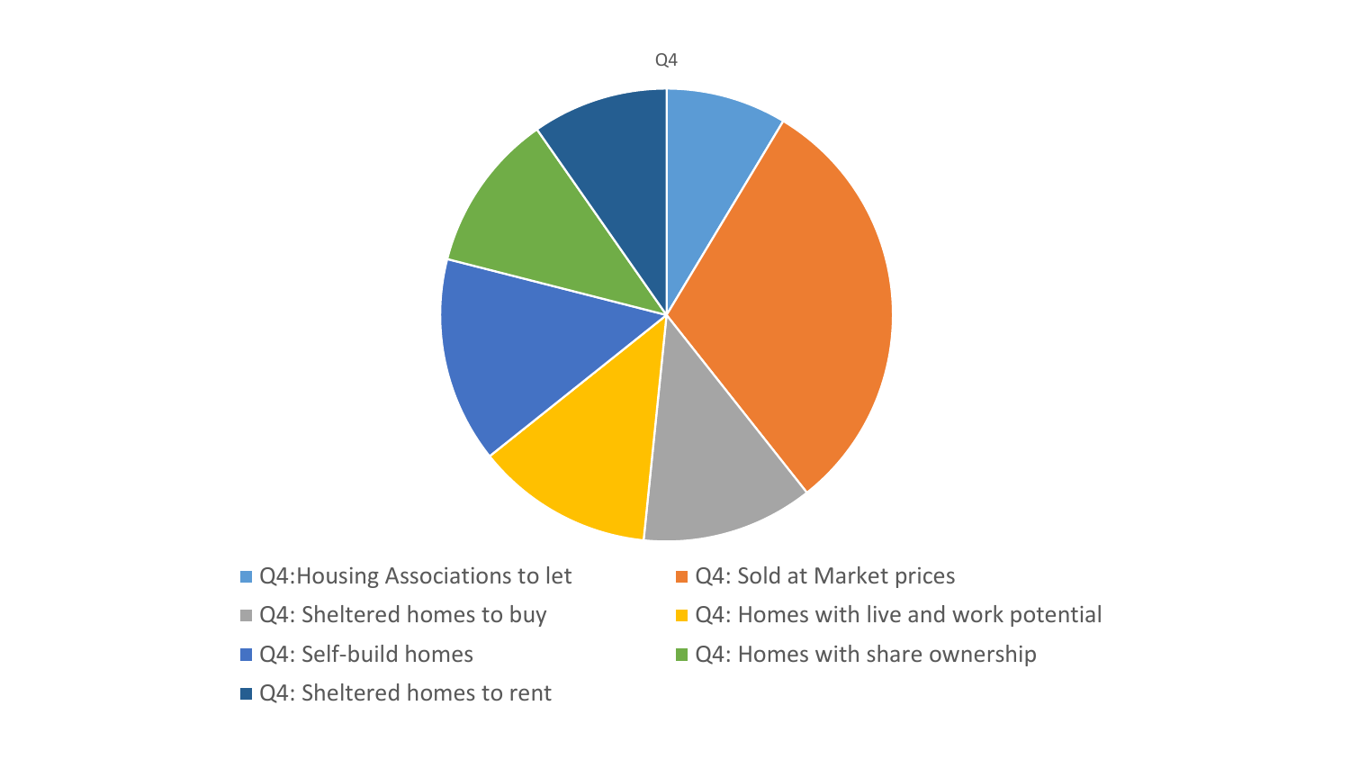

- Q4: Housing Associations to let Q4: Sold at Market prices
- 
- 
- Q4: Sheltered homes to rent
- 
- Q4: Sheltered homes to buy Q4: Homes with live and work potential
- Q4: Self-build homes Q4: Homes with share ownership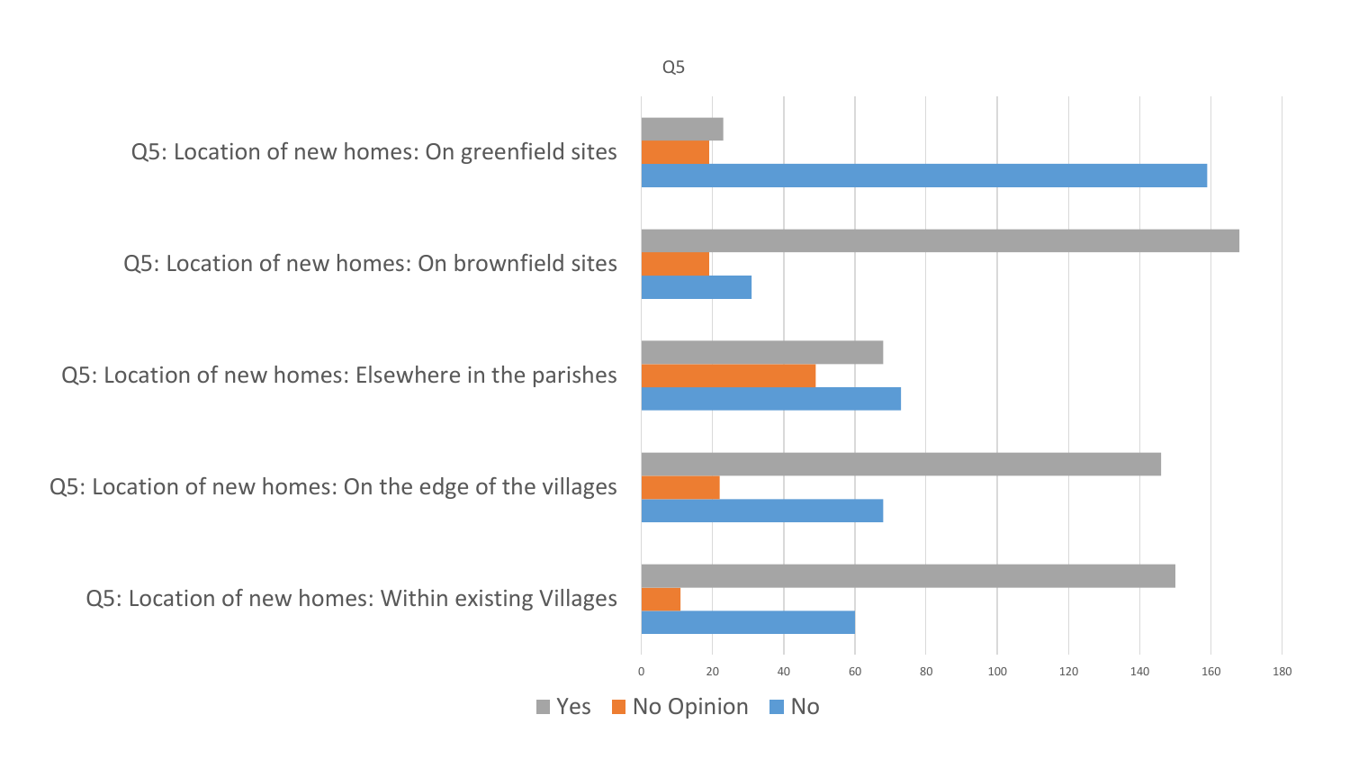Q5: Location of new homes: On greenfield sites

Q5: Location of new homes: On brownfield sites

Q5: Location of new homes: Elsewhere in the parishes

Q5: Location of new homes: On the edge of the villages

Q5: Location of new homes: Within existing Villages

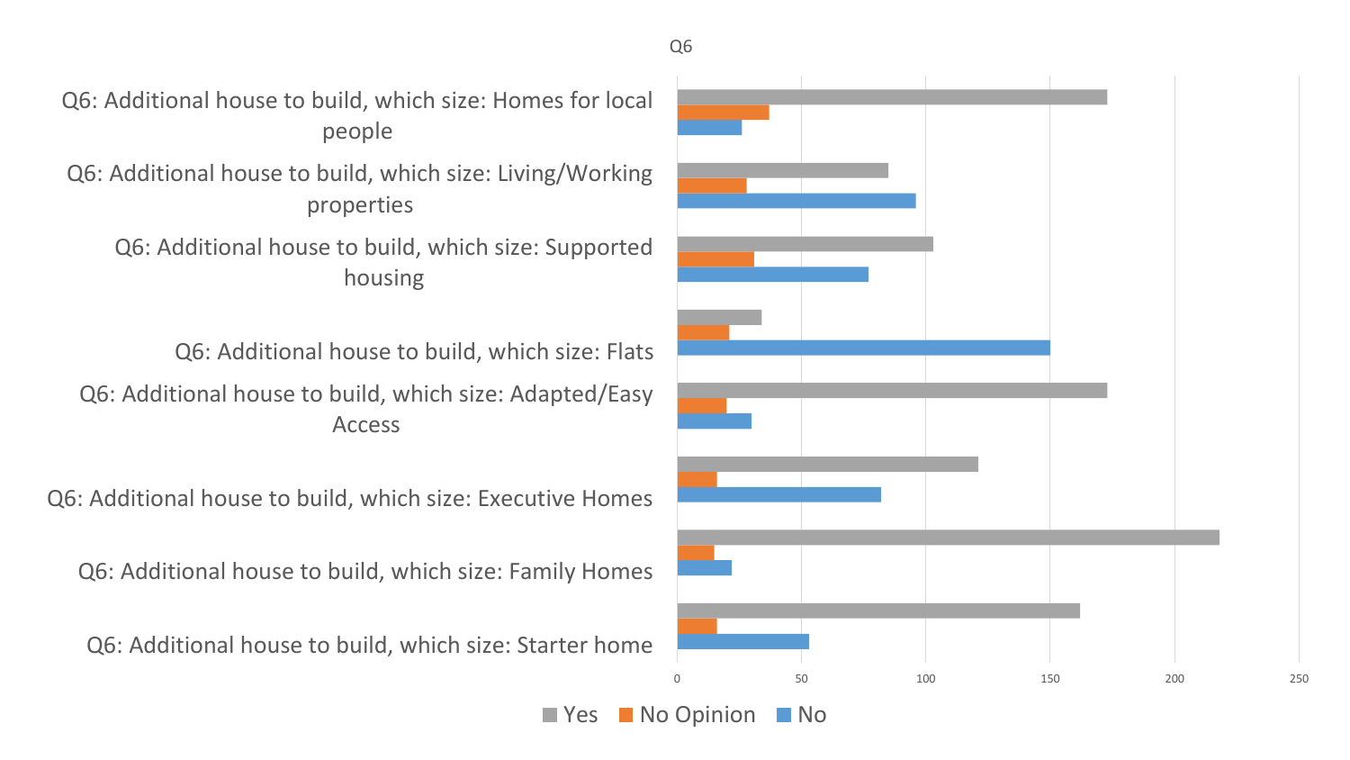

Q6: Additional house to build, which size: Homes for local people

Q6: Additional house to build, which size: Living/Working properties

Q6: Additional house to build, which size: Supported housing

Q6: Additional house to build, which size: Adapted/Easy Access Q6: Additional house to build, which size: Flats

Q6: Additional house to build, which size: Executive Homes

Q6: Additional house to build, which size: Family Homes

Q6: Additional house to build, which size: Starter home



 $\blacksquare$  Yes  $\blacksquare$  No Opinion  $\blacksquare$  No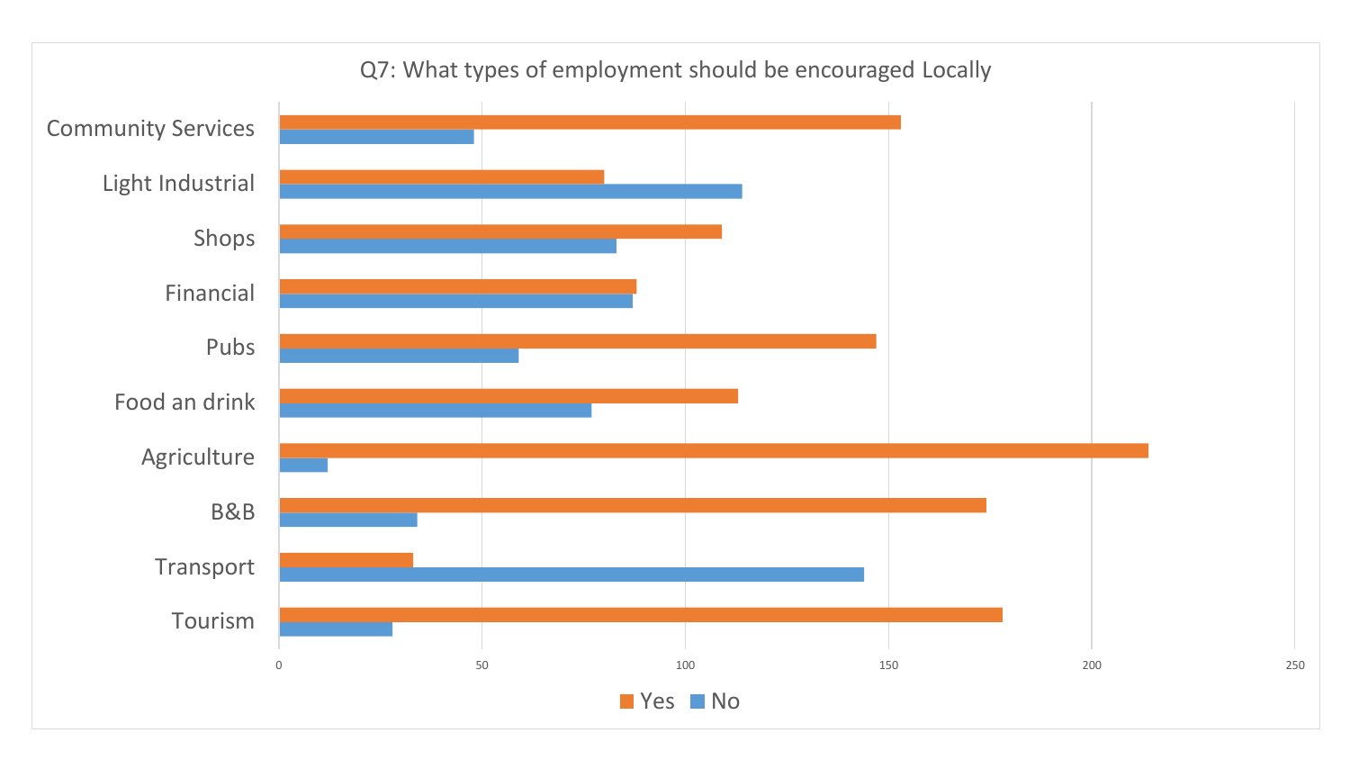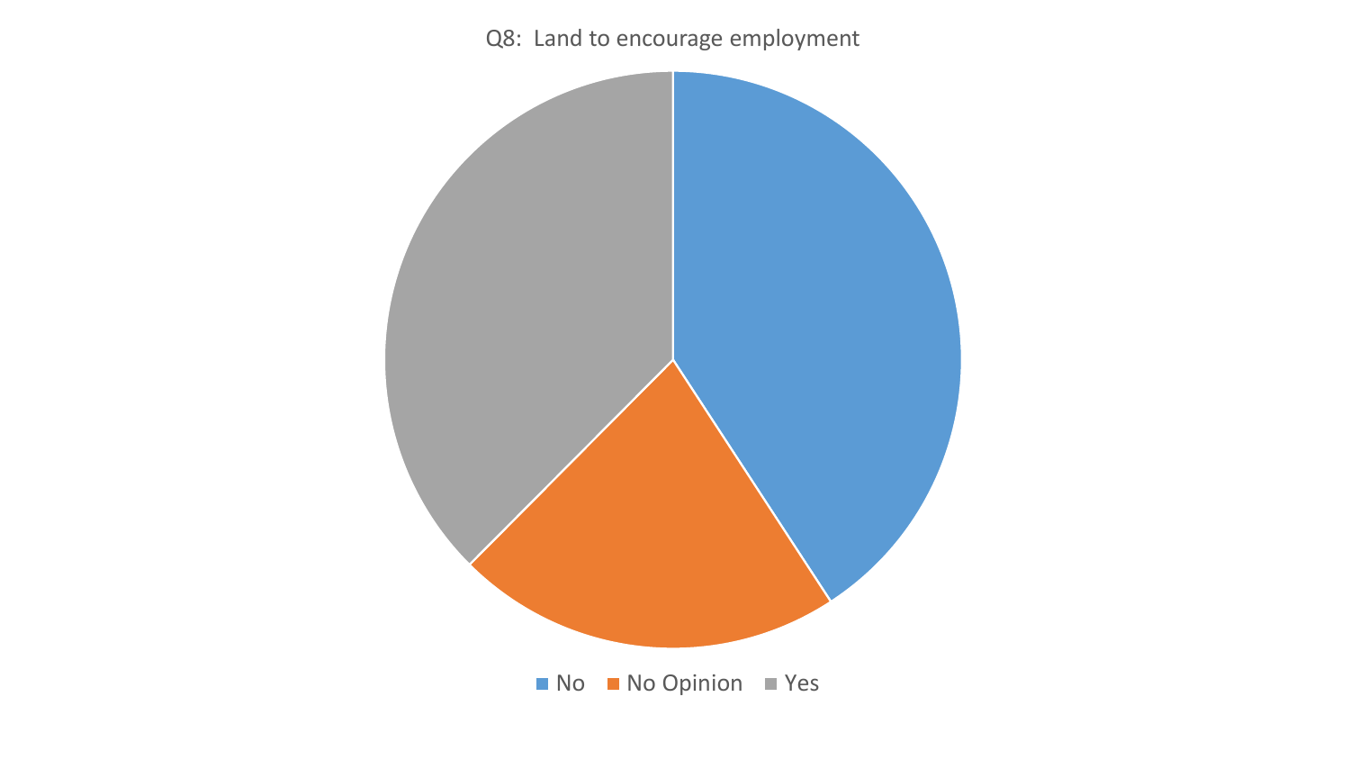Q8: Land to encourage employment

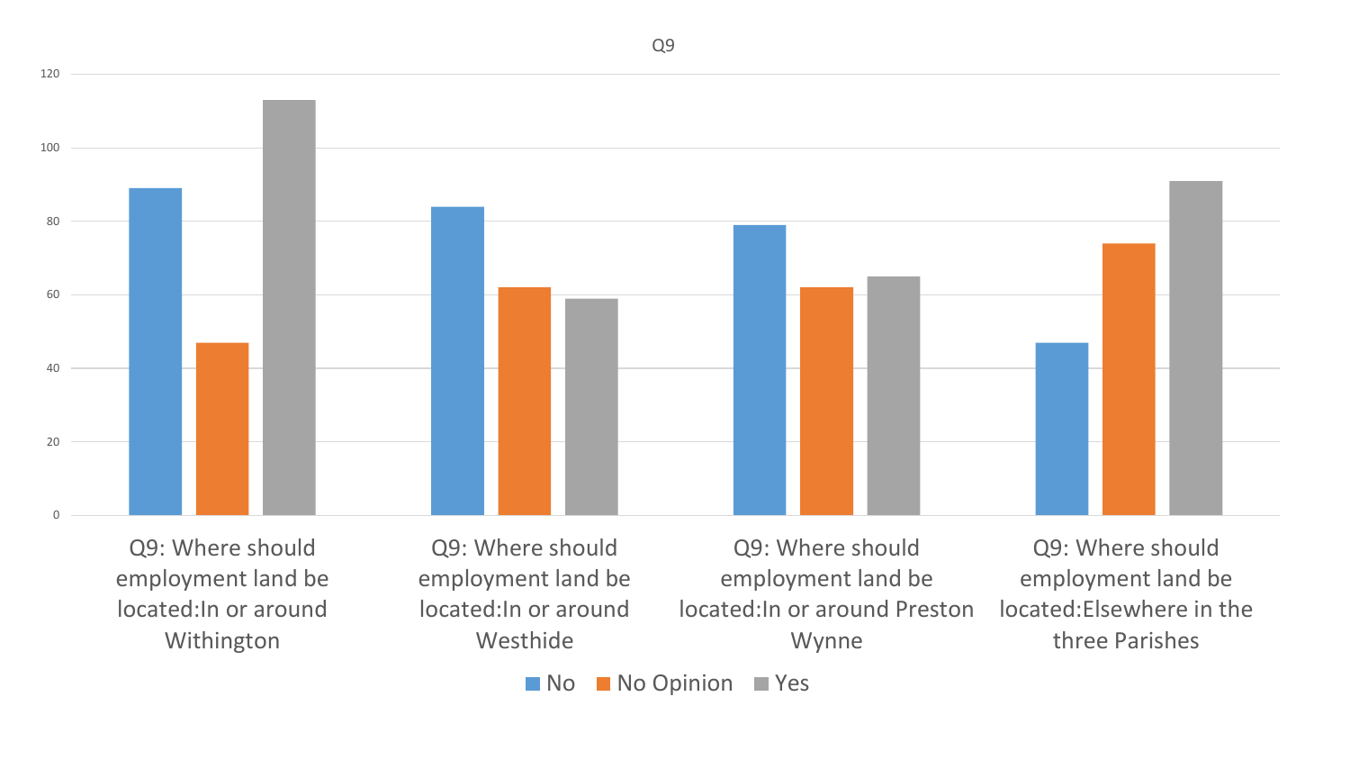

Q9: Where should employment land be located:In or around Withington

Q9: Where should employment land be located:In or around Westhide

Q9: Where should employment land be located:In or around Preston Wynne

Q9: Where should employment land be located:Elsewhere in the three Parishes

No No Opinion Yes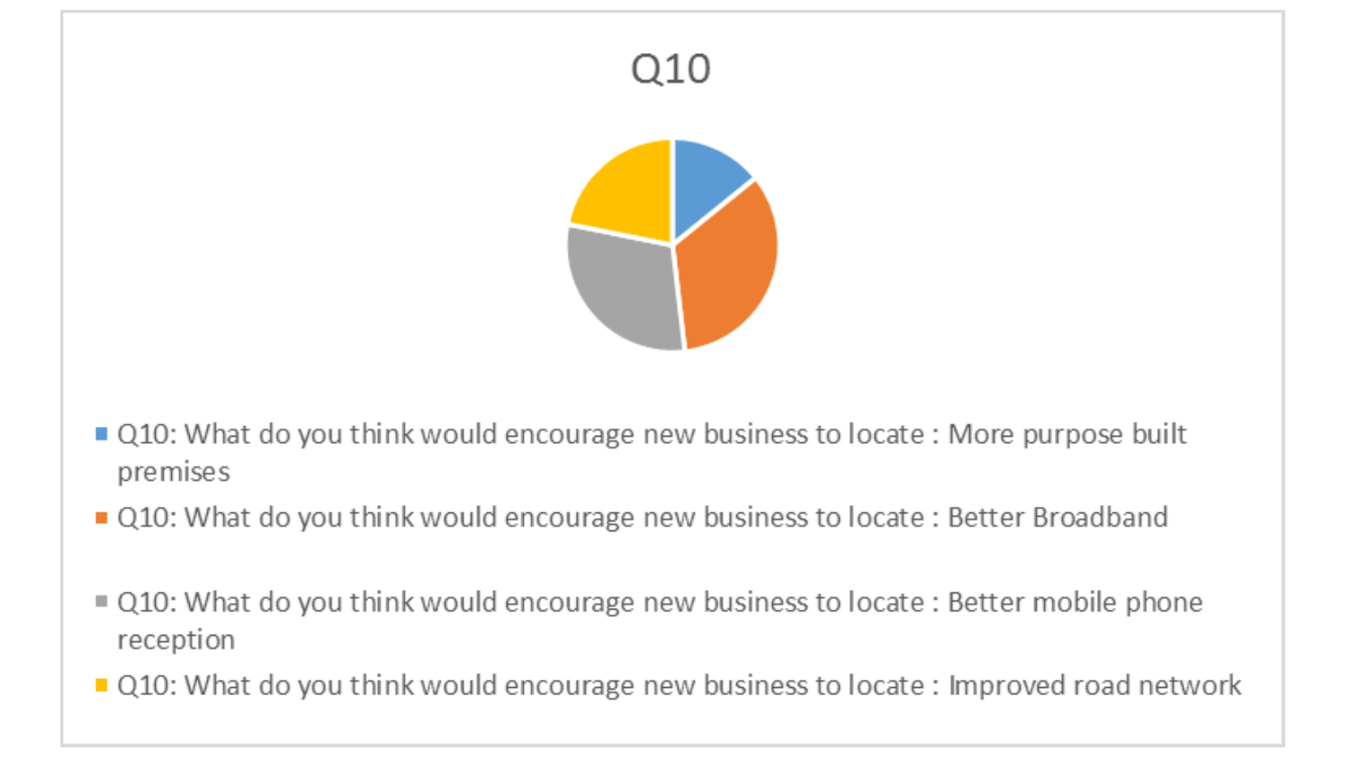## Q10



- Q10: What do you think would encourage new business to locate : More purpose built premises
- Q10: What do you think would encourage new business to locate : Better Broadband
- Q10: What do you think would encourage new business to locate : Better mobile phone reception
- Q10: What do you think would encourage new business to locate : Improved road network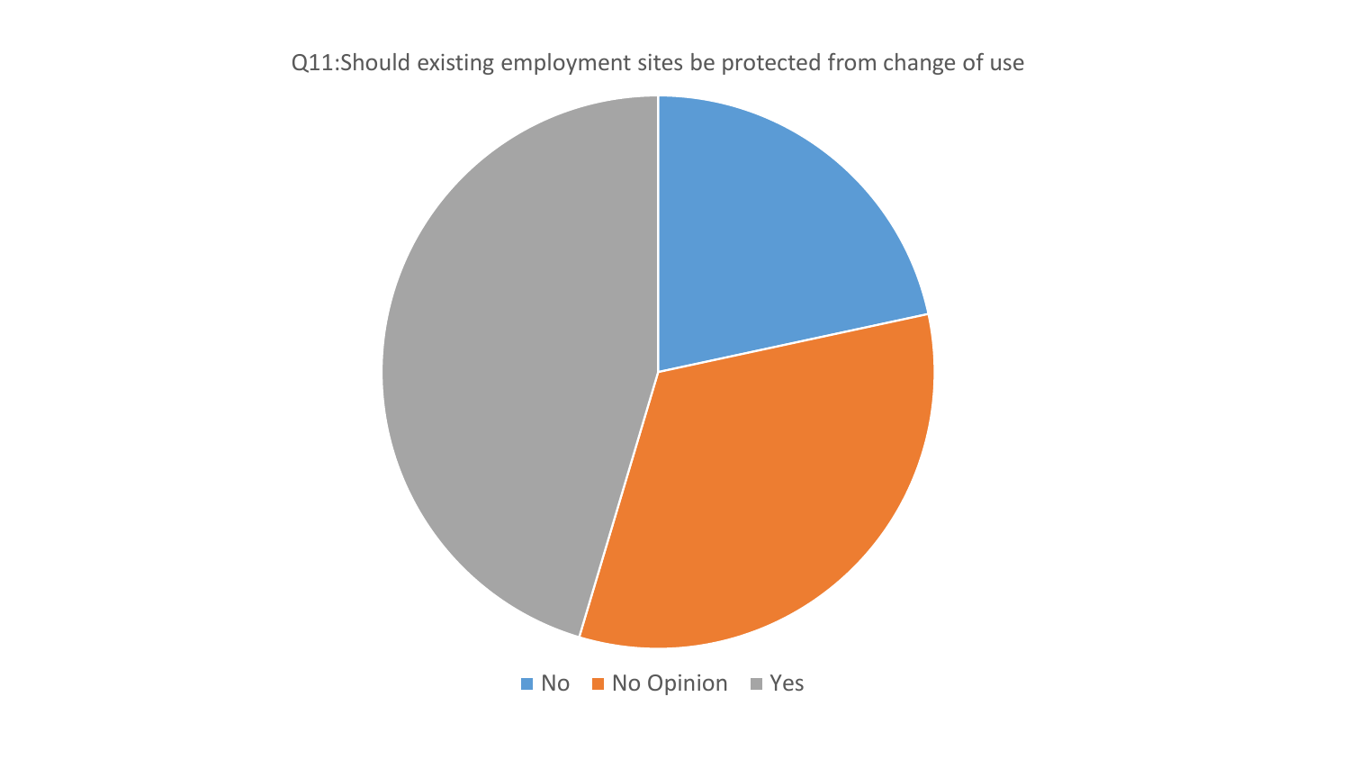## Q11:Should existing employment sites be protected from change of use

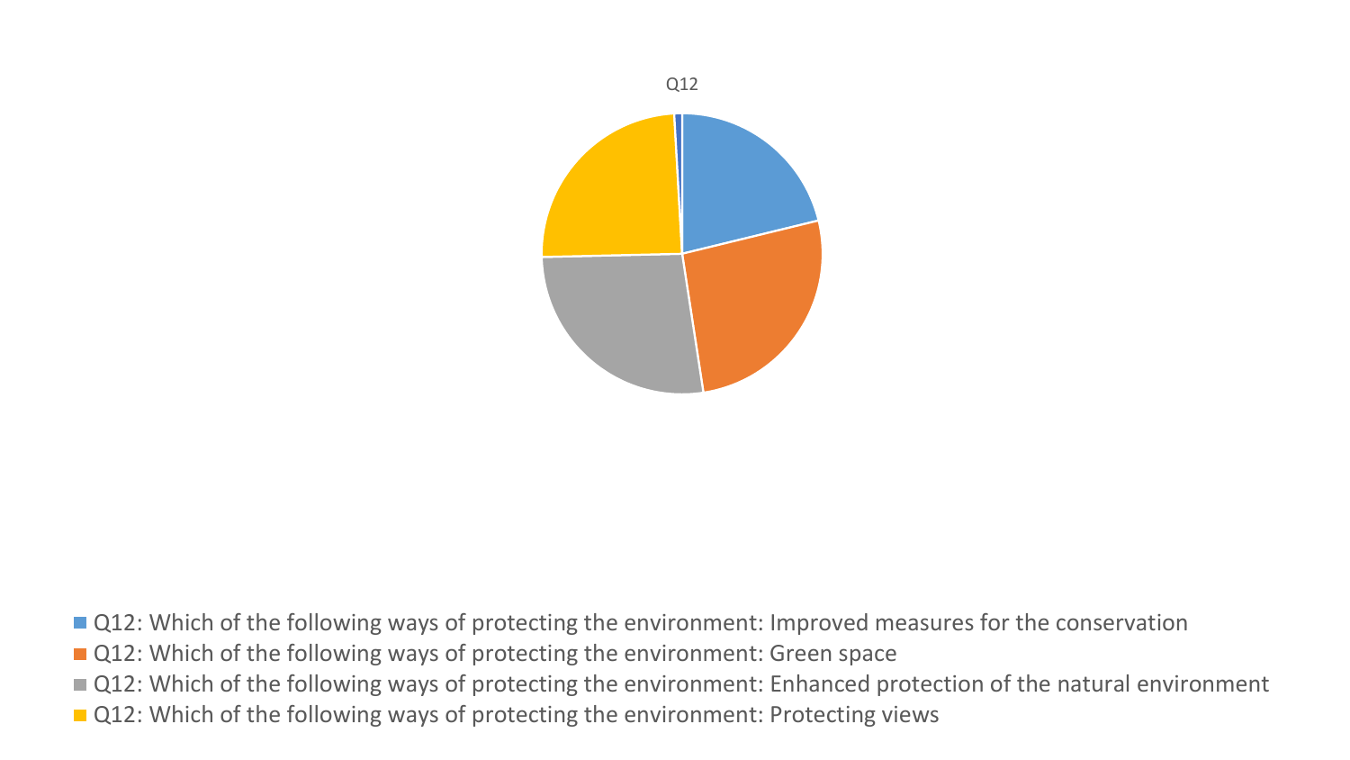

- Q12: Which of the following ways of protecting the environment: Improved measures for the conservation
- Q12: Which of the following ways of protecting the environment: Green space
- Q12: Which of the following ways of protecting the environment: Enhanced protection of the natural environment
- Q12: Which of the following ways of protecting the environment: Protecting views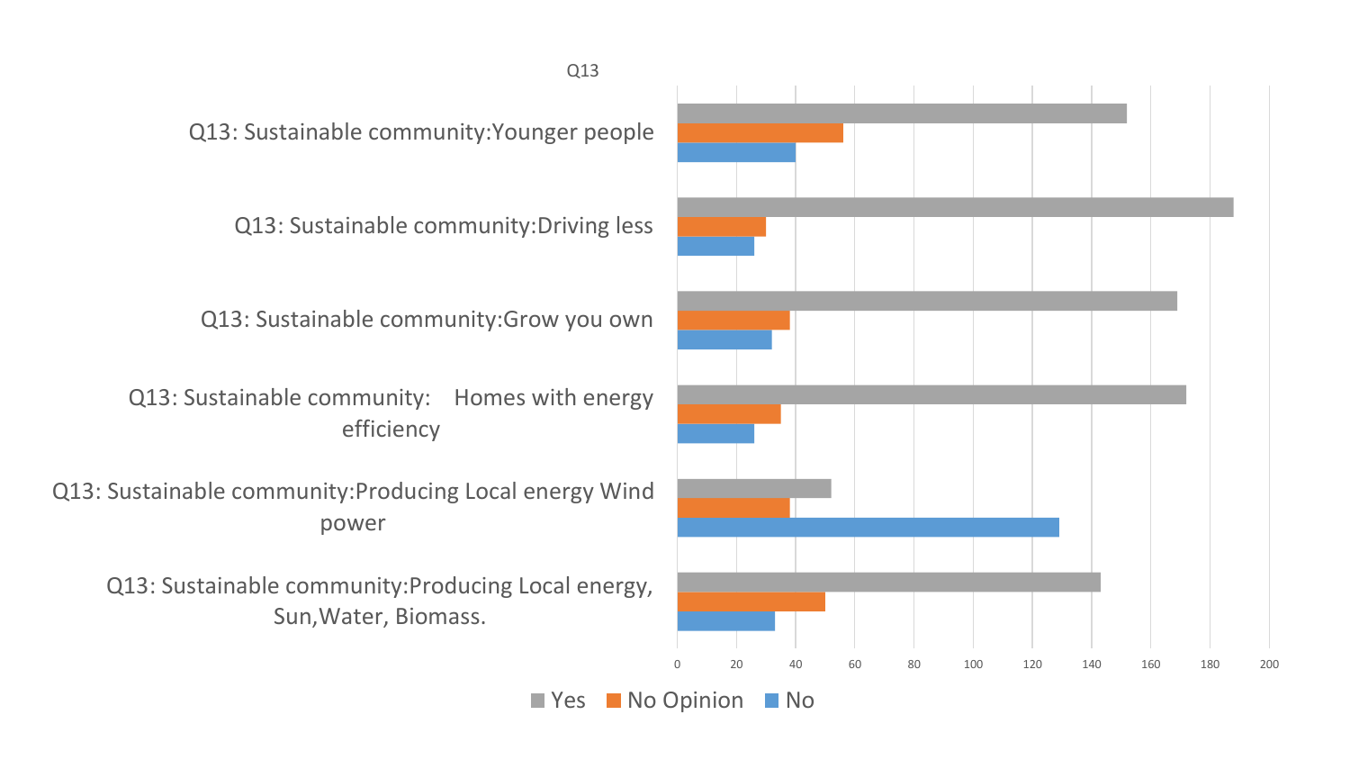Q13: Sustainable community:Younger people

Q13: Sustainable community:Driving less

Q13: Sustainable community:Grow you own

Q13: Sustainable community: Homes with energy efficiency

Q13: Sustainable community:Producing Local energy Wind power

Q13: Sustainable community:Producing Local energy, Sun,Water, Biomass.

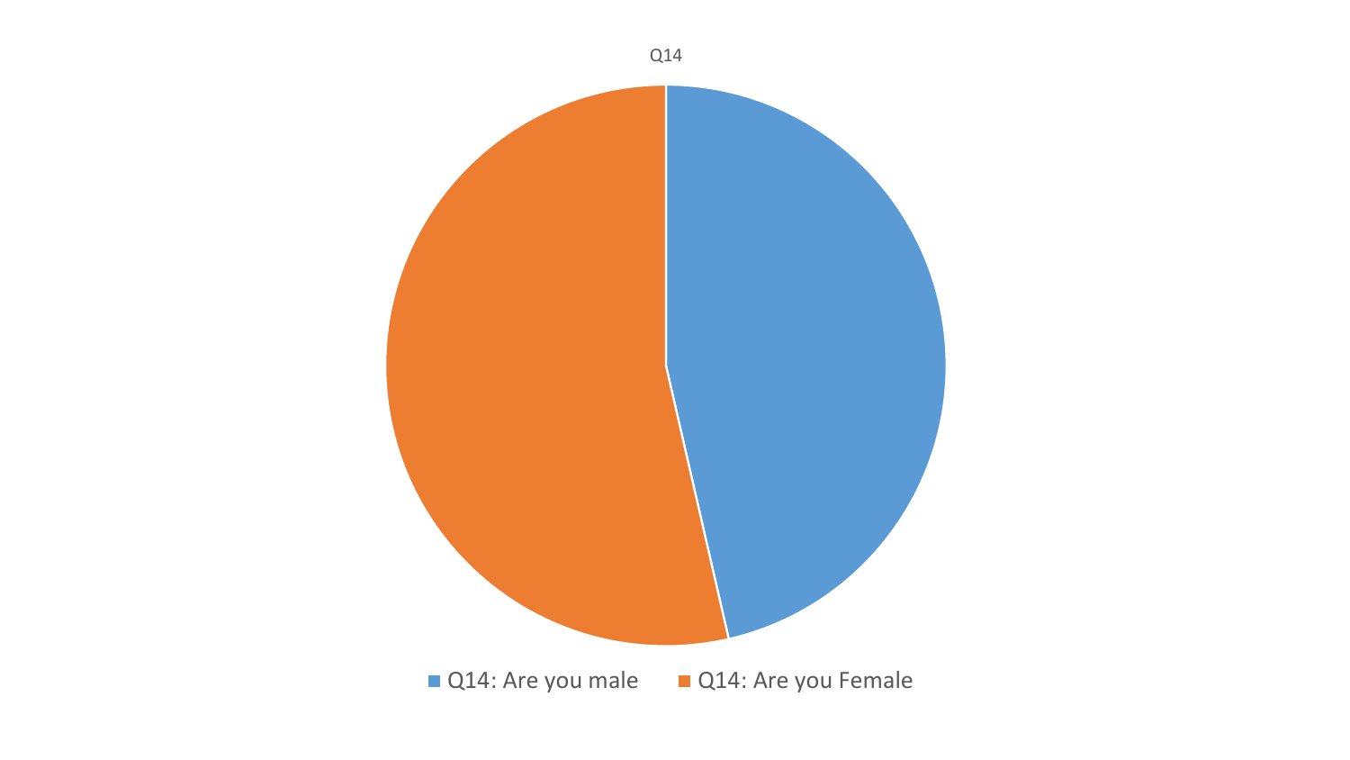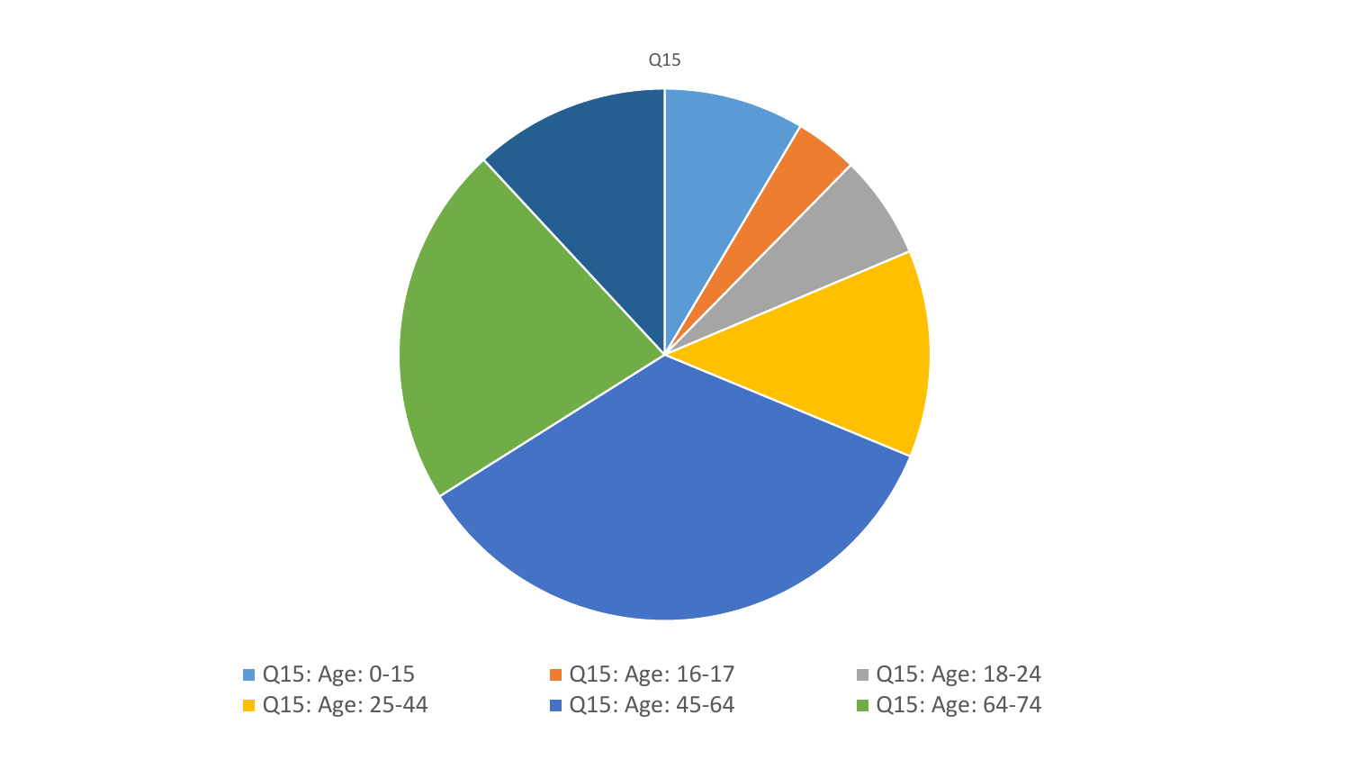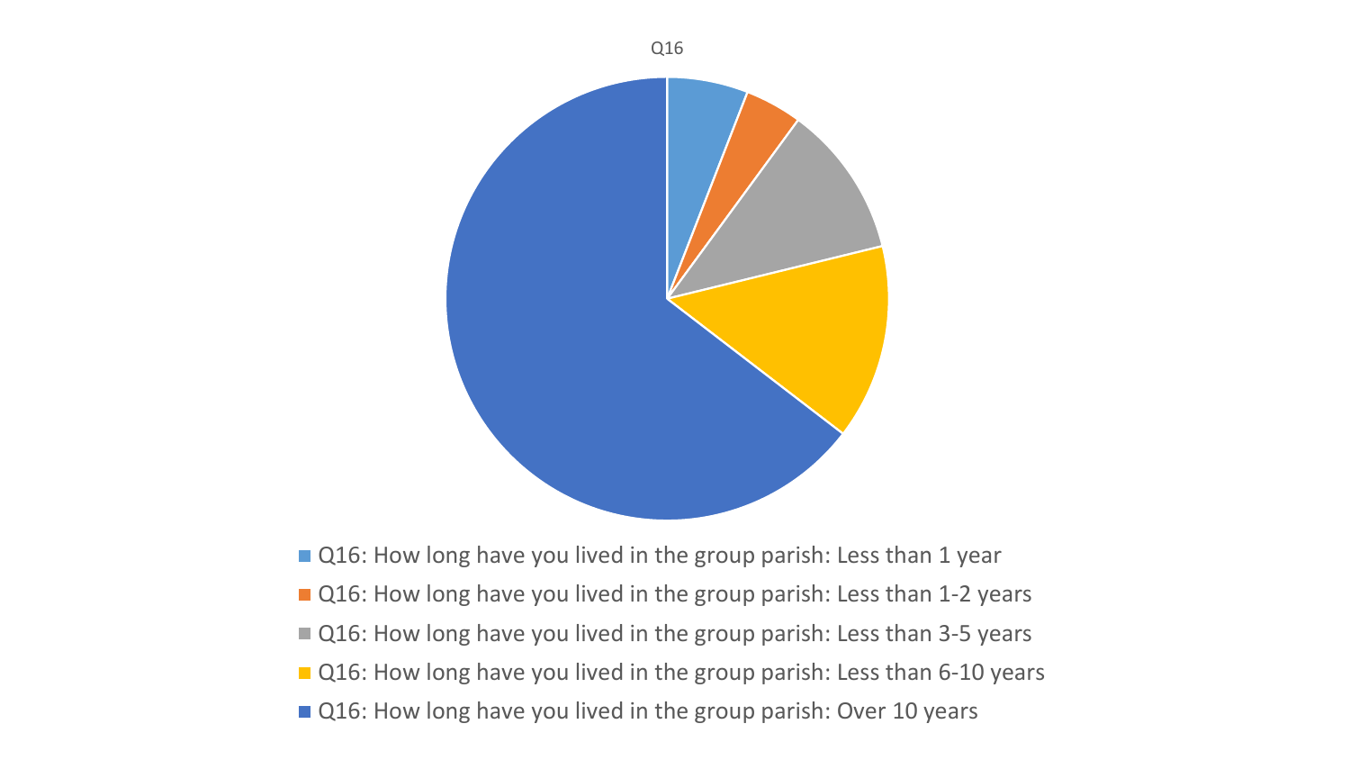

■ Q16: How long have you lived in the group parish: Less than 1 year

- Q16: How long have you lived in the group parish: Less than 1-2 years
- Q16: How long have you lived in the group parish: Less than 3-5 years
- Q16: How long have you lived in the group parish: Less than 6-10 years
- Q16: How long have you lived in the group parish: Over 10 years